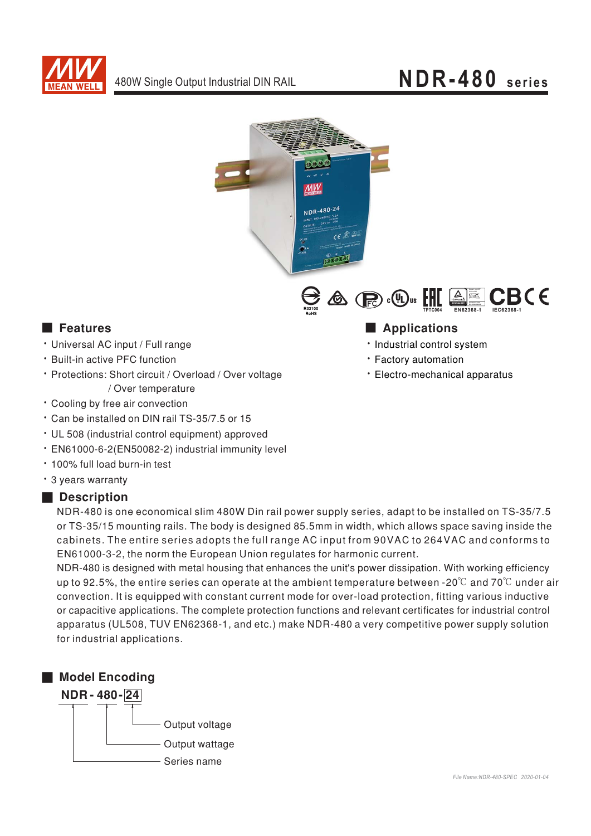

# NDR-480 series





#### **Executer** Features

- · Universal AC input / Full range
- \* Built-in active PFC function
- · Protections: Short circuit / Overload / Over voltage / Over temperature
- Cooling by free air convection
- \* Can be installed on DIN rail TS-35/7.5 or 15
- UL 508 (industrial control equipment) approved
- · EN61000-6-2(EN50082-2) industrial immunity level
- . 100% full load burn-in test
- \* 3 years warranty

#### Description

NDR-480 is one economical slim 480W Din rail power supply series, adapt to be installed on TS-35/7.5 or TS-35/15 mounting rails. The body is designed 85.5mm in width, which allows space saving inside the cabinets. The entire series adopts the full range AC input from 90VAC to 264VAC and conforms to EN61000-3-2, the norm the European Union regulates for harmonic current.

NDR-480 is designed with metal housing that enhances the unit's power dissipation. With working efficiency up to 92.5%, the entire series can operate at the ambient temperature between -20 $\degree$  and 70 $\degree$ C under air convection. It is equipped with constant current mode for over-load protection, fitting various inductive or capacitive applications. The complete protection functions and relevant certificates for industrial control apparatus (UL508, TUV EN62368-1, and etc.) make NDR-480 a very competitive power supply solution for industrial applications.



### Applications

- · Industrial control system
- Factory automation
- Electro-mechanical apparatus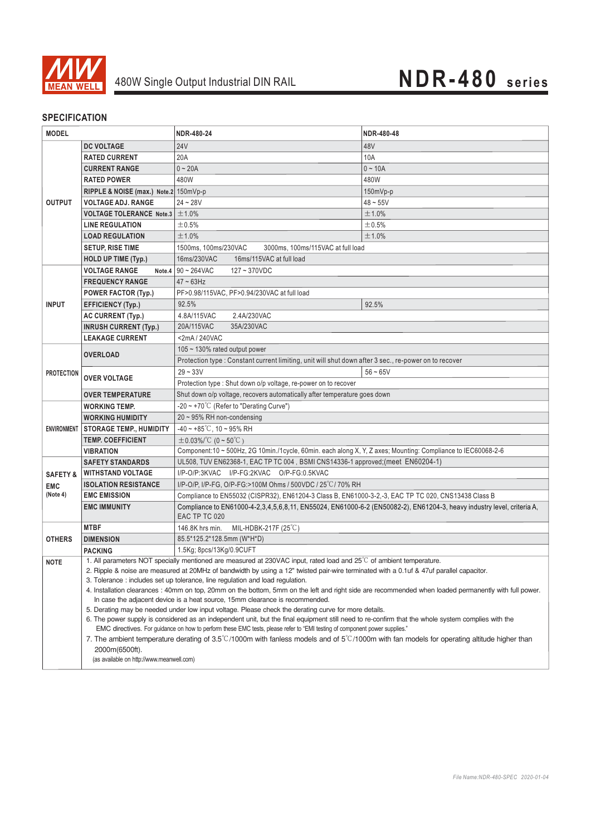

# 480W Single Output Industrial DIN RAIL **NDR-480 series**

#### **SPECIFICATION**

| <b>MODEL</b>                                  |                                                                                                                                                                        | NDR-480-24                                                                                                                                                                                                                            | NDR-480-48 |  |
|-----------------------------------------------|------------------------------------------------------------------------------------------------------------------------------------------------------------------------|---------------------------------------------------------------------------------------------------------------------------------------------------------------------------------------------------------------------------------------|------------|--|
|                                               | <b>DC VOLTAGE</b>                                                                                                                                                      | <b>24V</b>                                                                                                                                                                                                                            | 48V        |  |
| <b>OUTPUT</b>                                 | <b>RATED CURRENT</b>                                                                                                                                                   | 20A                                                                                                                                                                                                                                   | 10A        |  |
|                                               | <b>CURRENT RANGE</b>                                                                                                                                                   | $0 - 20A$                                                                                                                                                                                                                             | $0 - 10A$  |  |
|                                               | <b>RATED POWER</b>                                                                                                                                                     | 480W                                                                                                                                                                                                                                  | 480W       |  |
|                                               | RIPPLE & NOISE (max.) Note.2 150mVp-p                                                                                                                                  |                                                                                                                                                                                                                                       | 150mVp-p   |  |
|                                               | VOLTAGE ADJ. RANGE                                                                                                                                                     | $24 - 28V$                                                                                                                                                                                                                            | $48 - 55V$ |  |
|                                               | VOLTAGE TOLERANCE Note.3 $\pm$ 1.0%                                                                                                                                    |                                                                                                                                                                                                                                       | ±1.0%      |  |
|                                               | <b>LINE REGULATION</b>                                                                                                                                                 | ±0.5%                                                                                                                                                                                                                                 | ±0.5%      |  |
|                                               | <b>LOAD REGULATION</b>                                                                                                                                                 | ±1.0%                                                                                                                                                                                                                                 | ±1.0%      |  |
|                                               | <b>SETUP, RISE TIME</b>                                                                                                                                                | 1500ms, 100ms/230VAC<br>3000ms, 100ms/115VAC at full load                                                                                                                                                                             |            |  |
|                                               | <b>HOLD UP TIME (Typ.)</b>                                                                                                                                             | 16ms/115VAC at full load<br>16ms/230VAC                                                                                                                                                                                               |            |  |
|                                               | <b>VOLTAGE RANGE</b>                                                                                                                                                   | Note.4 $90 - 264$ VAC<br>$127 - 370VDC$                                                                                                                                                                                               |            |  |
| <b>INPUT</b>                                  | <b>FREQUENCY RANGE</b>                                                                                                                                                 | $47 \sim 63$ Hz                                                                                                                                                                                                                       |            |  |
|                                               | <b>POWER FACTOR (Typ.)</b>                                                                                                                                             | PF>0.98/115VAC, PF>0.94/230VAC at full load                                                                                                                                                                                           |            |  |
|                                               | <b>EFFICIENCY (Typ.)</b>                                                                                                                                               | 92.5%                                                                                                                                                                                                                                 | 92.5%      |  |
|                                               | <b>AC CURRENT (Typ.)</b>                                                                                                                                               | 4.8A/115VAC<br>2.4A/230VAC                                                                                                                                                                                                            |            |  |
|                                               | <b>INRUSH CURRENT (Typ.)</b>                                                                                                                                           | 35A/230VAC<br>20A/115VAC                                                                                                                                                                                                              |            |  |
|                                               | <b>LEAKAGE CURRENT</b>                                                                                                                                                 | $<$ 2mA / 240VAC                                                                                                                                                                                                                      |            |  |
| <b>PROTECTION</b>                             | <b>OVERLOAD</b>                                                                                                                                                        | 105 ~ 130% rated output power                                                                                                                                                                                                         |            |  |
|                                               |                                                                                                                                                                        | Protection type : Constant current limiting, unit will shut down after 3 sec., re-power on to recover                                                                                                                                 |            |  |
|                                               | <b>OVER VOLTAGE</b>                                                                                                                                                    | $56 - 65V$<br>$29 - 33V$                                                                                                                                                                                                              |            |  |
|                                               |                                                                                                                                                                        | Protection type : Shut down o/p voltage, re-power on to recover                                                                                                                                                                       |            |  |
|                                               | <b>OVER TEMPERATURE</b>                                                                                                                                                | Shut down o/p voltage, recovers automatically after temperature goes down                                                                                                                                                             |            |  |
| <b>ENVIRONMENT</b>                            | <b>WORKING TEMP.</b>                                                                                                                                                   | -20 ~ +70°C (Refer to "Derating Curve")                                                                                                                                                                                               |            |  |
|                                               | <b>WORKING HUMIDITY</b>                                                                                                                                                | $20 \sim 95\%$ RH non-condensing                                                                                                                                                                                                      |            |  |
|                                               | <b>STORAGE TEMP., HUMIDITY</b>                                                                                                                                         | $-40 \sim +85^{\circ}$ C, 10 ~ 95% RH                                                                                                                                                                                                 |            |  |
|                                               | <b>TEMP. COEFFICIENT</b>                                                                                                                                               | $\pm 0.03\%$ /°C (0 ~ 50°C)                                                                                                                                                                                                           |            |  |
|                                               | <b>VIBRATION</b>                                                                                                                                                       | Component:10 ~ 500Hz, 2G 10min./1cycle, 60min. each along X, Y, Z axes; Mounting: Compliance to IEC60068-2-6                                                                                                                          |            |  |
|                                               | <b>SAFETY STANDARDS</b>                                                                                                                                                | UL508, TUV EN62368-1, EAC TP TC 004, BSMI CNS14336-1 approved; (meet EN60204-1)                                                                                                                                                       |            |  |
| <b>SAFETY &amp;</b><br><b>EMC</b><br>(Note 4) | <b>WITHSTAND VOLTAGE</b>                                                                                                                                               | I/P-O/P:3KVAC I/P-FG:2KVAC O/P-FG:0.5KVAC                                                                                                                                                                                             |            |  |
|                                               | <b>ISOLATION RESISTANCE</b>                                                                                                                                            | I/P-O/P, I/P-FG, O/P-FG:>100M Ohms / 500VDC / 25°C/ 70% RH                                                                                                                                                                            |            |  |
|                                               | <b>EMC EMISSION</b>                                                                                                                                                    | Compliance to EN55032 (CISPR32), EN61204-3 Class B, EN61000-3-2,-3, EAC TP TC 020, CNS13438 Class B                                                                                                                                   |            |  |
|                                               | <b>EMC IMMUNITY</b>                                                                                                                                                    | Compliance to EN61000-4-2,3,4,5,6,8,11, EN55024, EN61000-6-2 (EN50082-2), EN61204-3, heavy industry level, criteria A,<br>EAC TP TC 020                                                                                               |            |  |
|                                               | <b>MTBF</b>                                                                                                                                                            | MIL-HDBK-217F (25 $^{\circ}$ C)<br>146.8K hrs min.                                                                                                                                                                                    |            |  |
| <b>OTHERS</b>                                 | <b>DIMENSION</b>                                                                                                                                                       | 85.5*125.2*128.5mm (W*H*D)                                                                                                                                                                                                            |            |  |
|                                               | PACKING                                                                                                                                                                | 1.5Kg; 8pcs/13Kg/0.9CUFT                                                                                                                                                                                                              |            |  |
| <b>NOTE</b>                                   | 1. All parameters NOT specially mentioned are measured at 230VAC input, rated load and 25°C of ambient temperature.                                                    |                                                                                                                                                                                                                                       |            |  |
|                                               |                                                                                                                                                                        | 2. Ripple & noise are measured at 20MHz of bandwidth by using a 12" twisted pair-wire terminated with a 0.1uf & 47uf parallel capacitor.                                                                                              |            |  |
|                                               |                                                                                                                                                                        | 3. Tolerance: includes set up tolerance, line regulation and load regulation.<br>4. Installation clearances: 40mm on top, 20mm on the bottom, 5mm on the left and right side are recommended when loaded permanently with full power. |            |  |
|                                               |                                                                                                                                                                        | In case the adjacent device is a heat source, 15mm clearance is recommended.                                                                                                                                                          |            |  |
|                                               |                                                                                                                                                                        | 5. Derating may be needed under low input voltage. Please check the derating curve for more details.                                                                                                                                  |            |  |
|                                               | 6. The power supply is considered as an independent unit, but the final equipment still need to re-confirm that the whole system complies with the                     |                                                                                                                                                                                                                                       |            |  |
|                                               | EMC directives. For guidance on how to perform these EMC tests, please refer to "EMI testing of component power supplies."                                             |                                                                                                                                                                                                                                       |            |  |
|                                               | 7. The ambient temperature derating of 3.5°C/1000m with fanless models and of $5^{\circ}$ C/1000m with fan models for operating altitude higher than<br>2000m(6500ft). |                                                                                                                                                                                                                                       |            |  |
|                                               | (as available on http://www.meanwell.com)                                                                                                                              |                                                                                                                                                                                                                                       |            |  |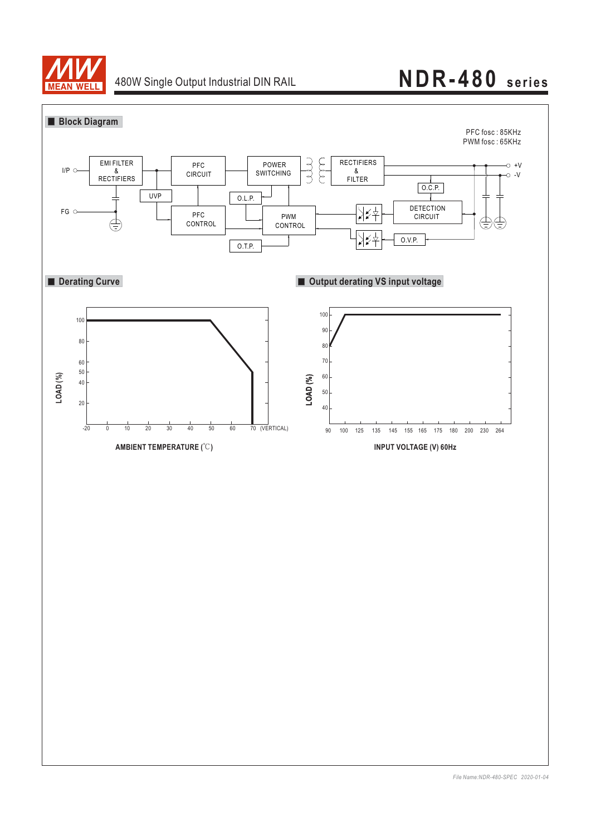

# 480W Single Output Industrial DIN RAIL **NDR-480 series**